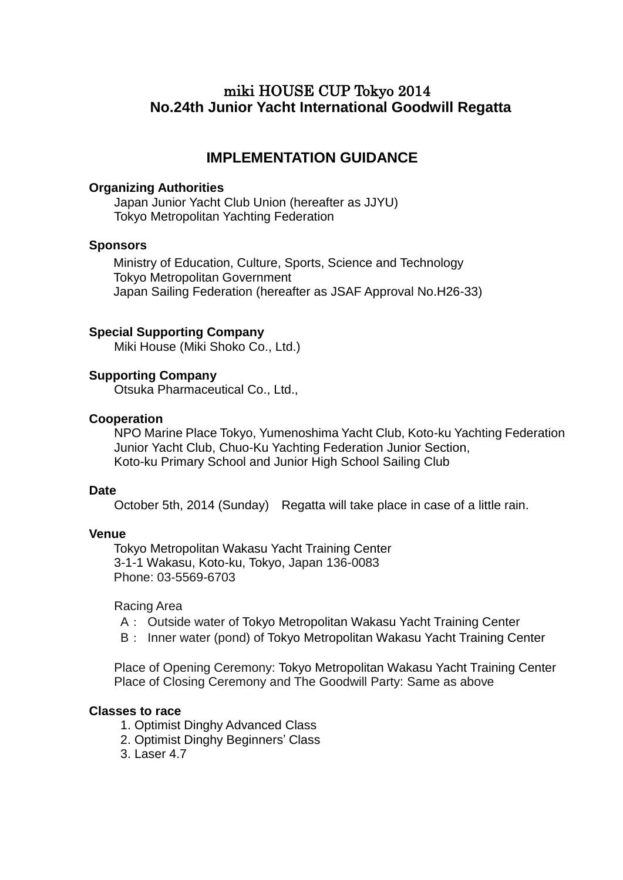# miki HOUSE CUP Tokyo 2014 **No.24th Junior Yacht International Goodwill Regatta**

# **IMPLEMENTATION GUIDANCE**

#### **Organizing Authorities**

Japan Junior Yacht Club Union (hereafter as JJYU) Tokyo Metropolitan Yachting Federation

### **Sponsors**

Ministry of Education, Culture, Sports, Science and Technology Tokyo Metropolitan Government Japan Sailing Federation (hereafter as JSAF Approval No.H26-33)

### **Special Supporting Company**

Miki House (Miki Shoko Co., Ltd.)

### **Supporting Company**

Otsuka Pharmaceutical Co., Ltd.,

### **Cooperation**

NPO Marine Place Tokyo, Yumenoshima Yacht Club, Koto-ku Yachting Federation Junior Yacht Club, Chuo-Ku Yachting Federation Junior Section, Koto-ku Primary School and Junior High School Sailing Club

#### **Date**

October 5th, 2014 (Sunday) Regatta will take place in case of a little rain.

#### **Venue**

Tokyo Metropolitan Wakasu Yacht Training Center 3-1-1 Wakasu, Koto-ku, Tokyo, Japan 136-0083 Phone: 03-5569-6703

Racing Area

- A: Outside water of Tokyo Metropolitan Wakasu Yacht Training Center
- B: Inner water (pond) of Tokyo Metropolitan Wakasu Yacht Training Center

 Place of Opening Ceremony: Tokyo Metropolitan Wakasu Yacht Training Center Place of Closing Ceremony and The Goodwill Party: Same as above

### **Classes to race**

- 1. Optimist Dinghy Advanced Class
- 2. Optimist Dinghy Beginners' Class
- 3. Laser 4.7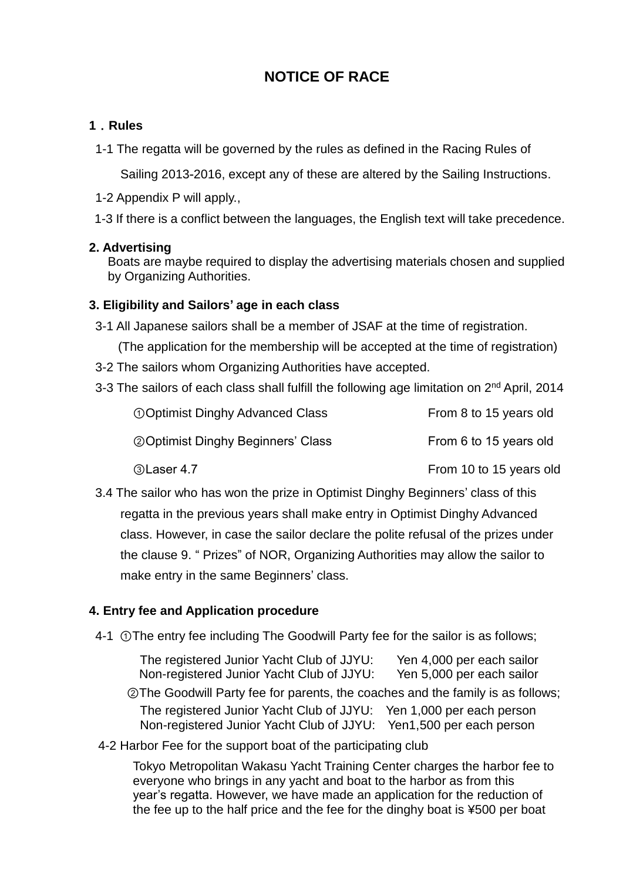# **NOTICE OF RACE**

## **1**.**Rules**

1-1 The regatta will be governed by the rules as defined in the Racing Rules of

Sailing 2013‐2016, except any of these are altered by the Sailing Instructions.

- 1-2 Appendix P will apply.,
- 1-3 If there is a conflict between the languages, the English text will take precedence.

### **2. Advertising**

Boats are maybe required to display the advertising materials chosen and supplied by Organizing Authorities.

## **3. Eligibility and Sailors' age in each class**

- 3-1 All Japanese sailors shall be a member of JSAF at the time of registration.
	- (The application for the membership will be accepted at the time of registration)
- 3-2 The sailors whom Organizing Authorities have accepted.
- 3-3 The sailors of each class shall fulfill the following age limitation on 2<sup>nd</sup> April, 2014

| <b>OOptimist Dinghy Advanced Class</b>     | From 8 to 15 years old  |
|--------------------------------------------|-------------------------|
| <b>20 Optimist Dinghy Beginners' Class</b> | From 6 to 15 years old  |
| <b>3Laser 4.7</b>                          | From 10 to 15 years old |

3.4 The sailor who has won the prize in Optimist Dinghy Beginners' class of this regatta in the previous years shall make entry in Optimist Dinghy Advanced class. However, in case the sailor declare the polite refusal of the prizes under the clause 9. " Prizes" of NOR, Organizing Authorities may allow the sailor to make entry in the same Beginners' class.

# **4. Entry fee and Application procedure**

4-1 ①The entry fee including The Goodwill Party fee for the sailor is as follows;

The registered Junior Yacht Club of JJYU: Yen 4,000 per each sailor Non-registered Junior Yacht Club of JJYU: Yen 5,000 per each sailor

 ②The Goodwill Party fee for parents, the coaches and the family is as follows; The registered Junior Yacht Club of JJYU: Yen 1,000 per each person Non-registered Junior Yacht Club of JJYU: Yen1,500 per each person

4-2 Harbor Fee for the support boat of the participating club

 Tokyo Metropolitan Wakasu Yacht Training Center charges the harbor fee to everyone who brings in any yacht and boat to the harbor as from this year's regatta. However, we have made an application for the reduction of the fee up to the half price and the fee for the dinghy boat is ¥500 per boat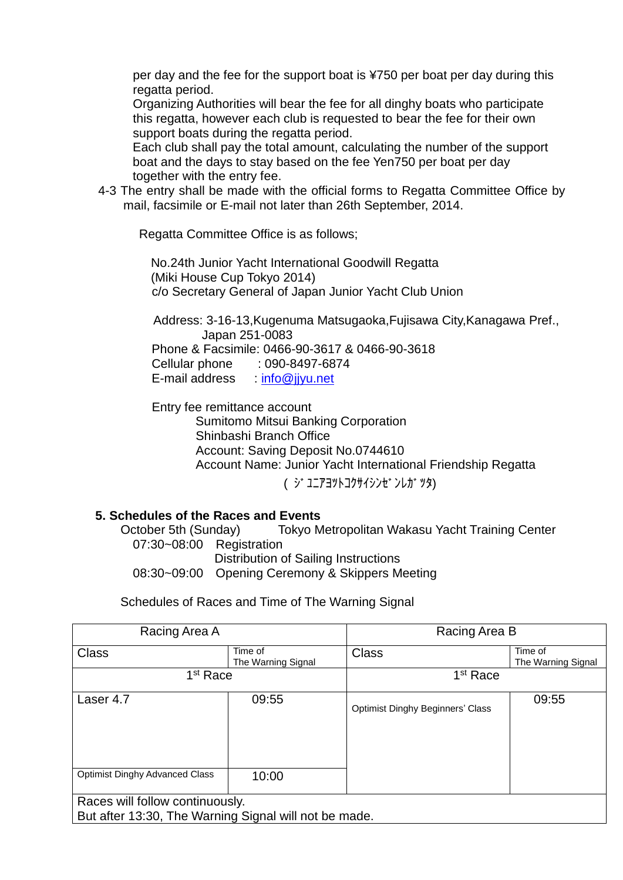per day and the fee for the support boat is ¥750 per boat per day during this regatta period.

 Organizing Authorities will bear the fee for all dinghy boats who participate this regatta, however each club is requested to bear the fee for their own support boats during the regatta period.

 Each club shall pay the total amount, calculating the number of the support boat and the days to stay based on the fee Yen750 per boat per day together with the entry fee.

4-3 The entry shall be made with the official forms to Regatta Committee Office by mail, facsimile or E-mail not later than 26th September, 2014.

Regatta Committee Office is as follows;

No.24th Junior Yacht International Goodwill Regatta (Miki House Cup Tokyo 2014) c/o Secretary General of Japan Junior Yacht Club Union

Address: 3-16-13,Kugenuma Matsugaoka,Fujisawa City,Kanagawa Pref., Japan 251-0083 Phone & Facsimile: 0466-90-3617 & 0466-90-3618

Cellular phone : 090-8497-6874

E-mail address : info@jivu.net

**Entry fee remittance account** Sumitomo Mitsui Banking Corporation Shinbashi Branch Office

Account: Saving Deposit No.0744610

Account Name: Junior Yacht International Friendship Regatta

( ジュニアヨットコクサイシンゼンレガッタ)

### **5. Schedules of the Races and Events**

 October 5th (Sunday) Tokyo Metropolitan Wakasu Yacht Training Center 07:30~08:00 Registration Distribution of Sailing Instructions 08:30~09:00 Opening Ceremony & Skippers Meeting

Schedules of Races and Time of The Warning Signal

| Racing Area A                                                                            |                               | Racing Area B                           |                               |
|------------------------------------------------------------------------------------------|-------------------------------|-----------------------------------------|-------------------------------|
| <b>Class</b>                                                                             | Time of<br>The Warning Signal | <b>Class</b>                            | Time of<br>The Warning Signal |
| 1 <sup>st</sup> Race                                                                     |                               | 1 <sup>st</sup> Race                    |                               |
| Laser 4.7                                                                                | 09:55                         | <b>Optimist Dinghy Beginners' Class</b> | 09:55                         |
| <b>Optimist Dinghy Advanced Class</b>                                                    | 10:00                         |                                         |                               |
| Races will follow continuously.<br>But after 13:30, The Warning Signal will not be made. |                               |                                         |                               |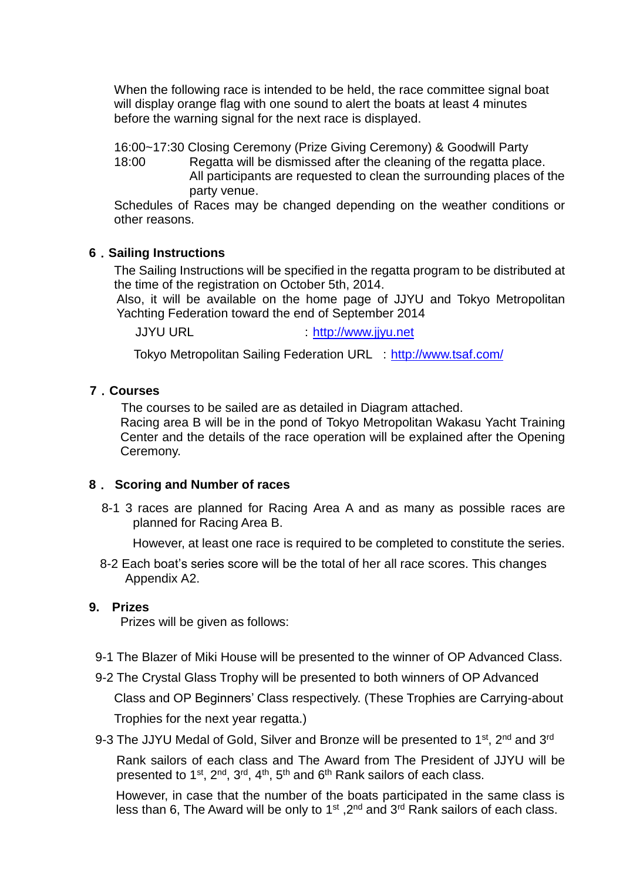When the following race is intended to be held, the race committee signal boat will display orange flag with one sound to alert the boats at least 4 minutes before the warning signal for the next race is displayed.

16:00~17:30 Closing Ceremony (Prize Giving Ceremony) & Goodwill Party

 18:00 Regatta will be dismissed after the cleaning of the regatta place. All participants are requested to clean the surrounding places of the party venue.

Schedules of Races may be changed depending on the weather conditions or other reasons.

## **6**.**Sailing Instructions**

The Sailing Instructions will be specified in the regatta program to be distributed at the time of the registration on October 5th, 2014.

Also, it will be available on the home page of JJYU and Tokyo Metropolitan Yachting Federation toward the end of September 2014

JJYU URL intervention of the [http://www.jjyu.net](http://www.jjyu.net/)

Tokyo Metropolitan Sailing Federation URL : <http://www.tsaf.com/>

### **7**.**Courses**

The courses to be sailed are as detailed in Diagram attached.

 Racing area B will be in the pond of Tokyo Metropolitan Wakasu Yacht Training Center and the details of the race operation will be explained after the Opening Ceremony.

### **8**. **Scoring and Number of races**

 8-1 3 races are planned for Racing Area A and as many as possible races are planned for Racing Area B.

However, at least one race is required to be completed to constitute the series.

8-2 Each boat's series score will be the total of her all race scores. This changes Appendix A2.

### **9. Prizes**

Prizes will be given as follows:

- 9-1 The Blazer of Miki House will be presented to the winner of OP Advanced Class.
- 9-2 The Crystal Glass Trophy will be presented to both winners of OP Advanced Class and OP Beginners' Class respectively. (These Trophies are Carrying-about Trophies for the next year regatta.)

9-3 The JJYU Medal of Gold, Silver and Bronze will be presented to 1<sup>st</sup>, 2<sup>nd</sup> and 3<sup>rd</sup>

Rank sailors of each class and The Award from The President of JJYU will be presented to 1<sup>st</sup>, 2<sup>nd</sup>, 3<sup>rd</sup>, 4<sup>th</sup>, 5<sup>th</sup> and 6<sup>th</sup> Rank sailors of each class.

However, in case that the number of the boats participated in the same class is less than 6, The Award will be only to 1<sup>st</sup>, 2<sup>nd</sup> and 3<sup>rd</sup> Rank sailors of each class.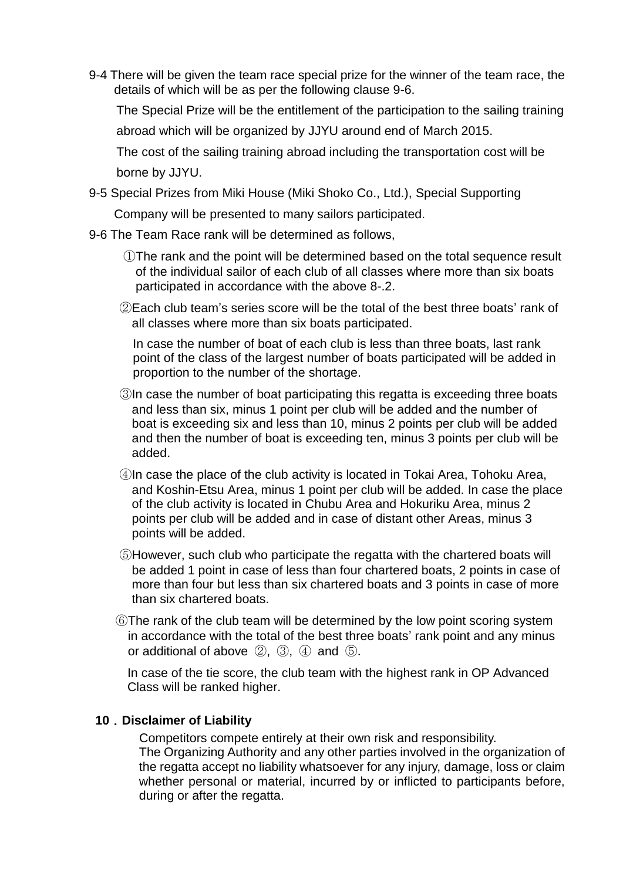9-4 There will be given the team race special prize for the winner of the team race, the details of which will be as per the following clause 9-6.

The Special Prize will be the entitlement of the participation to the sailing training

abroad which will be organized by JJYU around end of March 2015.

The cost of the sailing training abroad including the transportation cost will be borne by JJYU.

9-5 Special Prizes from Miki House (Miki Shoko Co., Ltd.), Special Supporting

Company will be presented to many sailors participated.

- 9-6 The Team Race rank will be determined as follows,
	- ①The rank and the point will be determined based on the total sequence result of the individual sailor of each club of all classes where more than six boats participated in accordance with the above 8-.2.
	- ②Each club team's series score will be the total of the best three boats' rank of all classes where more than six boats participated.

In case the number of boat of each club is less than three boats, last rank point of the class of the largest number of boats participated will be added in proportion to the number of the shortage.

- ③In case the number of boat participating this regatta is exceeding three boats and less than six, minus 1 point per club will be added and the number of boat is exceeding six and less than 10, minus 2 points per club will be added and then the number of boat is exceeding ten, minus 3 points per club will be added.
- ④In case the place of the club activity is located in Tokai Area, Tohoku Area, and Koshin-Etsu Area, minus 1 point per club will be added. In case the place of the club activity is located in Chubu Area and Hokuriku Area, minus 2 points per club will be added and in case of distant other Areas, minus 3 points will be added.
- ⑤However, such club who participate the regatta with the chartered boats will be added 1 point in case of less than four chartered boats, 2 points in case of more than four but less than six chartered boats and 3 points in case of more than six chartered boats.
- ⑥The rank of the club team will be determined by the low point scoring system in accordance with the total of the best three boats' rank point and any minus or additional of above ②, ③, ④ and ⑤.

In case of the tie score, the club team with the highest rank in OP Advanced Class will be ranked higher.

### **10**.**Disclaimer of Liability**

Competitors compete entirely at their own risk and responsibility. The Organizing Authority and any other parties involved in the organization of the regatta accept no liability whatsoever for any injury, damage, loss or claim whether personal or material, incurred by or inflicted to participants before, during or after the regatta.